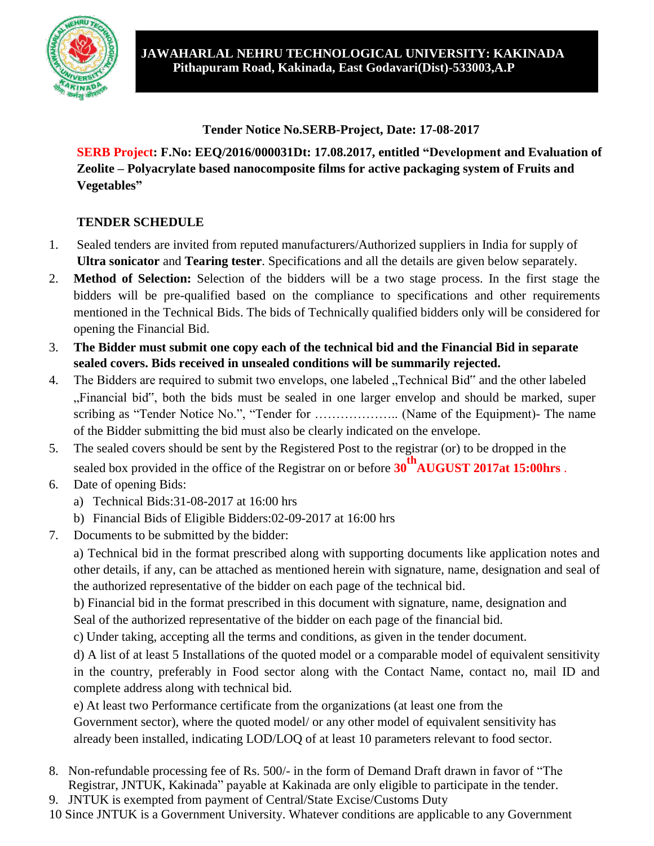

**Tender Notice No.SERB-Project, Date: 17-08-2017**

**SERB Project: F.No: EEQ/2016/000031Dt: 17.08.2017, entitled "Development and Evaluation of Zeolite – Polyacrylate based nanocomposite films for active packaging system of Fruits and Vegetables"**

### **TENDER SCHEDULE**

- 1. Sealed tenders are invited from reputed manufacturers/Authorized suppliers in India for supply of **Ultra sonicator** and **Tearing tester**. Specifications and all the details are given below separately.
- 2. **Method of Selection:** Selection of the bidders will be a two stage process. In the first stage the bidders will be pre-qualified based on the compliance to specifications and other requirements mentioned in the Technical Bids. The bids of Technically qualified bidders only will be considered for opening the Financial Bid.
- 3. **The Bidder must submit one copy each of the technical bid and the Financial Bid in separate sealed covers. Bids received in unsealed conditions will be summarily rejected.**
- 4. The Bidders are required to submit two envelops, one labeled "Technical Bid" and the other labeled "Financial bid", both the bids must be sealed in one larger envelop and should be marked, super scribing as "Tender Notice No.", "Tender for ……………….. (Name of the Equipment)- The name of the Bidder submitting the bid must also be clearly indicated on the envelope.
- 5. The sealed covers should be sent by the Registered Post to the registrar (or) to be dropped in the sealed box provided in the office of the Registrar on or before **30thAUGUST 2017at 15:00hrs** .
- 6. Date of opening Bids:
	- a) Technical Bids:31-08-2017 at 16:00 hrs
	- b) Financial Bids of Eligible Bidders:02-09-2017 at 16:00 hrs
- 7. Documents to be submitted by the bidder:

a) Technical bid in the format prescribed along with supporting documents like application notes and other details, if any, can be attached as mentioned herein with signature, name, designation and seal of the authorized representative of the bidder on each page of the technical bid.

b) Financial bid in the format prescribed in this document with signature, name, designation and Seal of the authorized representative of the bidder on each page of the financial bid.

c) Under taking, accepting all the terms and conditions, as given in the tender document.

d) A list of at least 5 Installations of the quoted model or a comparable model of equivalent sensitivity in the country, preferably in Food sector along with the Contact Name, contact no, mail ID and complete address along with technical bid.

e) At least two Performance certificate from the organizations (at least one from the Government sector), where the quoted model/ or any other model of equivalent sensitivity has already been installed, indicating LOD/LOQ of at least 10 parameters relevant to food sector.

- 8. Non-refundable processing fee of Rs. 500/- in the form of Demand Draft drawn in favor of "The Registrar, JNTUK, Kakinada" payable at Kakinada are only eligible to participate in the tender.
- 9. JNTUK is exempted from payment of Central/State Excise/Customs Duty

10 Since JNTUK is a Government University. Whatever conditions are applicable to any Government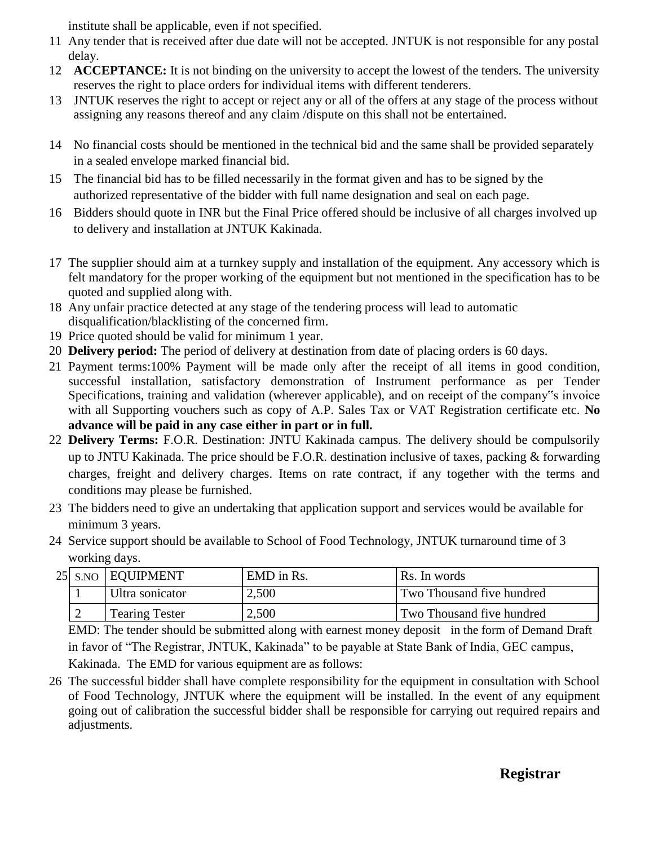institute shall be applicable, even if not specified.

- 11 Any tender that is received after due date will not be accepted. JNTUK is not responsible for any postal delay.
- 12 **ACCEPTANCE:** It is not binding on the university to accept the lowest of the tenders. The university reserves the right to place orders for individual items with different tenderers.
- 13 JNTUK reserves the right to accept or reject any or all of the offers at any stage of the process without assigning any reasons thereof and any claim /dispute on this shall not be entertained.
- 14 No financial costs should be mentioned in the technical bid and the same shall be provided separately in a sealed envelope marked financial bid.
- 15 The financial bid has to be filled necessarily in the format given and has to be signed by the authorized representative of the bidder with full name designation and seal on each page.
- 16 Bidders should quote in INR but the Final Price offered should be inclusive of all charges involved up to delivery and installation at JNTUK Kakinada.
- 17 The supplier should aim at a turnkey supply and installation of the equipment. Any accessory which is felt mandatory for the proper working of the equipment but not mentioned in the specification has to be quoted and supplied along with.
- 18 Any unfair practice detected at any stage of the tendering process will lead to automatic disqualification/blacklisting of the concerned firm.
- 19 Price quoted should be valid for minimum 1 year.
- 20 **Delivery period:** The period of delivery at destination from date of placing orders is 60 days.
- 21 Payment terms:100% Payment will be made only after the receipt of all items in good condition, successful installation, satisfactory demonstration of Instrument performance as per Tender Specifications, training and validation (wherever applicable), and on receipt of the company"s invoice with all Supporting vouchers such as copy of A.P. Sales Tax or VAT Registration certificate etc. **No advance will be paid in any case either in part or in full.**
- 22 **Delivery Terms:** F.O.R. Destination: JNTU Kakinada campus. The delivery should be compulsorily up to JNTU Kakinada. The price should be F.O.R. destination inclusive of taxes, packing & forwarding charges, freight and delivery charges. Items on rate contract, if any together with the terms and conditions may please be furnished.
- 23 The bidders need to give an undertaking that application support and services would be available for minimum 3 years.
- 24 Service support should be available to School of Food Technology, JNTUK turnaround time of 3 working days.

|  | 25 S.NO EQUIPMENT     | EMD in Rs. | Rs. In words              |
|--|-----------------------|------------|---------------------------|
|  | Ultra sonicator       | 2,500      | Two Thousand five hundred |
|  | <b>Tearing Tester</b> | 2,500      | Two Thousand five hundred |

EMD: The tender should be submitted along with earnest money deposit in the form of Demand Draft in favor of "The Registrar, JNTUK, Kakinada" to be payable at State Bank of India, GEC campus, Kakinada. The EMD for various equipment are as follows:

26 The successful bidder shall have complete responsibility for the equipment in consultation with School of Food Technology, JNTUK where the equipment will be installed. In the event of any equipment going out of calibration the successful bidder shall be responsible for carrying out required repairs and adjustments.